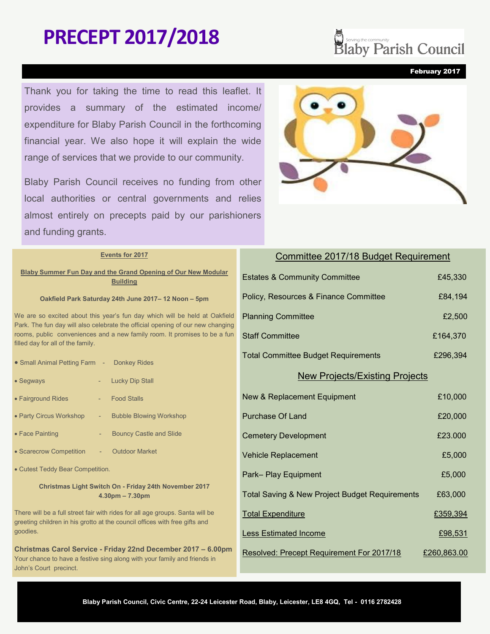# **PRECEPT 2017/2018**

Thank you for taking the time to read this leaflet. It provides a summary of the estimated income/ expenditure for Blaby Parish Council in the forthcoming financial year. We also hope it will explain the wide range of services that we provide to our community.

Blaby Parish Council receives no funding from other local authorities or central governments and relies almost entirely on precepts paid by our parishioners and funding grants.



|                                                                               | Events for 2017                                                                                                                                                                                  | Committee 2017/18 Budget                            |
|-------------------------------------------------------------------------------|--------------------------------------------------------------------------------------------------------------------------------------------------------------------------------------------------|-----------------------------------------------------|
|                                                                               | Blaby Summer Fun Day and the Grand Opening of Our New Modular<br><b>Building</b>                                                                                                                 | <b>Estates &amp; Community Committee</b>            |
|                                                                               | Oakfield Park Saturday 24th June 2017-12 Noon-5pm                                                                                                                                                | Policy, Resources & Finance Committee               |
| We are so excited about this year's fun day which will be held at Oakfield    |                                                                                                                                                                                                  | <b>Planning Committee</b>                           |
|                                                                               | Park. The fun day will also celebrate the official opening of our new changing<br>rooms, public conveniences and a new family room. It promises to be a fun<br>filled day for all of the family. | <b>Staff Committee</b>                              |
|                                                                               | • Small Animal Petting Farm - Donkey Rides                                                                                                                                                       | <b>Total Committee Budget Requirements</b>          |
|                                                                               | • Segways<br><b>Lucky Dip Stall</b>                                                                                                                                                              | <b>New Projects/Existing</b>                        |
|                                                                               | • Fairground Rides<br><b>Food Stalls</b>                                                                                                                                                         | New & Replacement Equipment                         |
|                                                                               | • Party Circus Workshop<br><b>Bubble Blowing Workshop</b><br>$\overline{\phantom{a}}$                                                                                                            | <b>Purchase Of Land</b>                             |
|                                                                               | • Face Painting<br><b>Bouncy Castle and Slide</b>                                                                                                                                                | <b>Cemetery Development</b>                         |
|                                                                               | • Scarecrow Competition<br><b>Outdoor Market</b>                                                                                                                                                 | <b>Vehicle Replacement</b>                          |
|                                                                               | • Cutest Teddy Bear Competition.                                                                                                                                                                 | Park-Play Equipment                                 |
|                                                                               | Christmas Light Switch On - Friday 24th November 2017<br>$4.30pm - 7.30pm$                                                                                                                       | <b>Total Saving &amp; New Project Budget Requir</b> |
| There will be a full street fair with rides for all age groups. Santa will be |                                                                                                                                                                                                  | <b>Total Expenditure</b>                            |
|                                                                               | greeting children in his grotto at the council offices with free gifts and<br>goodies.                                                                                                           | <b>Less Estimated Income</b>                        |
|                                                                               | Christmas Carol Service - Friday 22nd December 2017 - 6.00pm<br>Your chance to have a festive sing along with your family and friends in                                                         | Resolved: Precept Requirement For 2017/             |
|                                                                               |                                                                                                                                                                                                  |                                                     |

John's Court precinct.

**Decomposition Start Second Council** 

February 2017

Requirement

£45,330

£84,194

 $£2,500$ 

£164,370

| Total Committee Budget Requirements | £296.394 |
|-------------------------------------|----------|
| No. Description of the Decision     |          |

### Projects

| <b>New &amp; Replacement Equipment</b>                    | £10,000     |
|-----------------------------------------------------------|-------------|
| Purchase Of Land                                          | £20,000     |
| <b>Cemetery Development</b>                               | £23.000     |
| <b>Vehicle Replacement</b>                                | £5,000      |
| Park-Play Equipment                                       | £5,000      |
| <b>Total Saving &amp; New Project Budget Requirements</b> | £63,000     |
| <b>Total Expenditure</b>                                  | £359,394    |
| <b>Less Estimated Income</b>                              | £98,531     |
| Resolved: Precept Requirement For 2017/18                 | £260,863.00 |